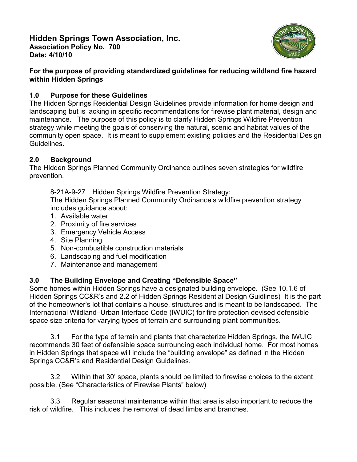

### **For the purpose of providing standardized guidelines for reducing wildland fire hazard within Hidden Springs**

# **1.0 Purpose for these Guidelines**

The Hidden Springs Residential Design Guidelines provide information for home design and landscaping but is lacking in specific recommendations for firewise plant material, design and maintenance. The purpose of this policy is to clarify Hidden Springs Wildfire Prevention strategy while meeting the goals of conserving the natural, scenic and habitat values of the community open space. It is meant to supplement existing policies and the Residential Design Guidelines.

## **2.0 Background**

The Hidden Springs Planned Community Ordinance outlines seven strategies for wildfire prevention.

8-21A-9-27 Hidden Springs Wildfire Prevention Strategy: The Hidden Springs Planned Community Ordinance's wildfire prevention strategy includes guidance about:

- 1. Available water
- 2. Proximity of fire services
- 3. Emergency Vehicle Access
- 4. Site Planning
- 5. Non-combustible construction materials
- 6. Landscaping and fuel modification
- 7. Maintenance and management

# **3.0 The Building Envelope and Creating "Defensible Space"**

Some homes within Hidden Springs have a designated building envelope. (See 10.1.6 of Hidden Springs CC&R's and 2.2 of Hidden Springs Residential Design Guidlines) It is the part of the homeowner's lot that contains a house, structures and is meant to be landscaped. The International Wildland–Urban Interface Code (IWUIC) for fire protection devised defensible space size criteria for varying types of terrain and surrounding plant communities.

3.1 For the type of terrain and plants that characterize Hidden Springs, the IWUIC recommends 30 feet of defensible space surrounding each individual home. For most homes in Hidden Springs that space will include the "building envelope" as defined in the Hidden Springs CC&R's and Residential Design Guidelines.

3.2 Within that 30' space, plants should be limited to firewise choices to the extent possible. (See "Characteristics of Firewise Plants" below)

3.3 Regular seasonal maintenance within that area is also important to reduce the risk of wildfire. This includes the removal of dead limbs and branches.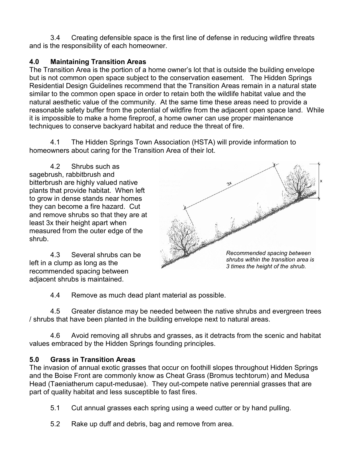3.4 Creating defensible space is the first line of defense in reducing wildfire threats and is the responsibility of each homeowner.

# **4.0 Maintaining Transition Areas**

The Transition Area is the portion of a home owner's lot that is outside the building envelope but is not common open space subject to the conservation easement. The Hidden Springs Residential Design Guidelines recommend that the Transition Areas remain in a natural state similar to the common open space in order to retain both the wildlife habitat value and the natural aesthetic value of the community. At the same time these areas need to provide a reasonable safety buffer from the potential of wildfire from the adjacent open space land. While it is impossible to make a home fireproof, a home owner can use proper maintenance techniques to conserve backyard habitat and reduce the threat of fire.

4.1 The Hidden Springs Town Association (HSTA) will provide information to homeowners about caring for the Transition Area of their lot.

4.2 Shrubs such as sagebrush, rabbitbrush and bitterbrush are highly valued native plants that provide habitat. When left to grow in dense stands near homes they can become a fire hazard. Cut and remove shrubs so that they are at least 3x their height apart when measured from the outer edge of the shrub.

4.3 Several shrubs can be left in a clump as long as the recommended spacing between adjacent shrubs is maintained.



4.4 Remove as much dead plant material as possible.

4.5 Greater distance may be needed between the native shrubs and evergreen trees / shrubs that have been planted in the building envelope next to natural areas.

4.6 Avoid removing all shrubs and grasses, as it detracts from the scenic and habitat values embraced by the Hidden Springs founding principles.

## **5.0 Grass in Transition Areas**

The invasion of annual exotic grasses that occur on foothill slopes throughout Hidden Springs and the Boise Front are commonly know as Cheat Grass (Bromus techtorum) and Medusa Head (Taeniatherum caput-medusae). They out-compete native perennial grasses that are part of quality habitat and less susceptible to fast fires.

- 5.1 Cut annual grasses each spring using a weed cutter or by hand pulling.
- 5.2 Rake up duff and debris, bag and remove from area.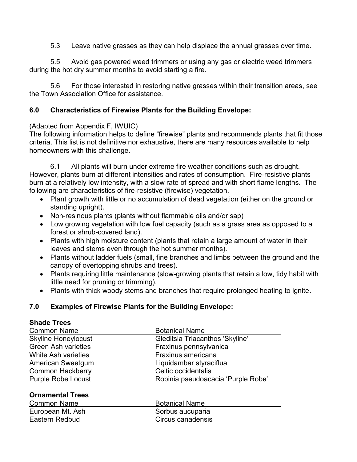5.3 Leave native grasses as they can help displace the annual grasses over time.

5.5 Avoid gas powered weed trimmers or using any gas or electric weed trimmers during the hot dry summer months to avoid starting a fire.

5.6 For those interested in restoring native grasses within their transition areas, see the Town Association Office for assistance.

### **6.0 Characteristics of Firewise Plants for the Building Envelope:**

#### (Adapted from Appendix F, IWUIC)

The following information helps to define "firewise" plants and recommends plants that fit those criteria. This list is not definitive nor exhaustive, there are many resources available to help homeowners with this challenge.

6.1 All plants will burn under extreme fire weather conditions such as drought. However, plants burn at different intensities and rates of consumption. Fire-resistive plants burn at a relatively low intensity, with a slow rate of spread and with short flame lengths. The following are characteristics of fire-resistive (firewise) vegetation.

- Plant growth with little or no accumulation of dead vegetation (either on the ground or standing upright).
- Non-resinous plants (plants without flammable oils and/or sap)
- Low growing vegetation with low fuel capacity (such as a grass area as opposed to a forest or shrub-covered land).
- Plants with high moisture content (plants that retain a large amount of water in their leaves and stems even through the hot summer months).
- Plants without ladder fuels (small, fine branches and limbs between the ground and the canopy of overtopping shrubs and trees).
- Plants requiring little maintenance (slow-growing plants that retain a low, tidy habit with little need for pruning or trimming).
- Plants with thick woody stems and branches that require prolonged heating to ignite.

## **7.0 Examples of Firewise Plants for the Building Envelope:**

### **Shade Trees**

| <b>Common Name</b>         | <b>Botanical Name</b>              |
|----------------------------|------------------------------------|
| <b>Skyline Honeylocust</b> | Gleditsia Triacanthos 'Skyline'    |
| <b>Green Ash varieties</b> | Fraxinus pennsylvanica             |
| White Ash varieties        | Fraxinus americana                 |
| American Sweetgum          | Liquidambar styraciflua            |
| <b>Common Hackberry</b>    | Celtic occidentalis                |
| <b>Purple Robe Locust</b>  | Robinia pseudoacacia 'Purple Robe' |
| <b>Ornamental Trees</b>    |                                    |
| <b>Common Name</b>         | <b>Botanical Name</b>              |
| European Mt. Ash           | Sorbus aucuparia                   |
| Eastern Redbud             | Circus canadensis                  |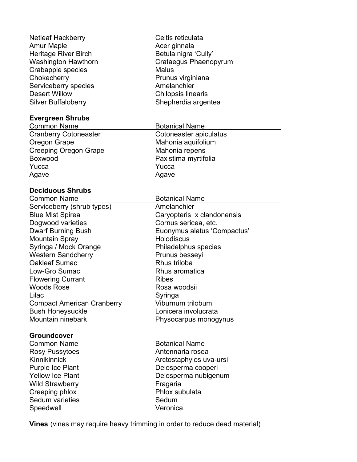| Netleaf Hackberry           | Celtis reticulata         |
|-----------------------------|---------------------------|
| <b>Amur Maple</b>           | Acer ginnala              |
| <b>Heritage River Birch</b> | Betula nigra 'Cully'      |
| <b>Washington Hawthorn</b>  | Crataegus Phaenopyrum     |
| Crabapple species           | <b>Malus</b>              |
| Chokecherry                 | Prunus virginiana         |
| Serviceberry species        | Amelanchier               |
| <b>Desert Willow</b>        | <b>Chilopsis linearis</b> |
| <b>Silver Buffaloberry</b>  | Shepherdia argentea       |
|                             |                           |
| <b>Evergreen Shrubs</b>     |                           |

Common Name **Botanical Name** Cranberry Cotoneaster **Coloneaster** Cotoneaster apiculatus Oregon Grape **Mahonia** aquifolium Creeping Oregon Grape Mahonia repens Boxwood **Paxistima myrtifolia** Yucca **Yucca** Yucca Agave Agave

#### **Deciduous Shrubs**

| Common Name                       |
|-----------------------------------|
| Serviceberry (shrub types)        |
| <b>Blue Mist Spirea</b>           |
| Dogwood varieties                 |
| <b>Dwarf Burning Bush</b>         |
| <b>Mountain Spray</b>             |
| Syringa / Mock Orange             |
| <b>Western Sandcherry</b>         |
| <b>Oakleaf Sumac</b>              |
| Low-Gro Sumac                     |
| <b>Flowering Currant</b>          |
| <b>Woods Rose</b>                 |
| Lilac                             |
| <b>Compact American Cranberry</b> |
| <b>Bush Honeysuckle</b>           |
| Mountain ninebark                 |
|                                   |

#### **Groundcover**

| Common Name             | <b>Botanical Name</b>   |  |
|-------------------------|-------------------------|--|
| Rosy Pussytoes          | Antennaria rosea        |  |
| <b>Kinnikinnick</b>     | Arctostaphylos uva-ursi |  |
| Purple Ice Plant        | Delosperma cooperi      |  |
| <b>Yellow Ice Plant</b> | Delosperma nubigenum    |  |
| <b>Wild Strawberry</b>  | Fragaria                |  |
| Creeping phlox          | Phlox subulata          |  |
| Sedum varieties         | Sedum                   |  |
| Speedwell               | Veronica                |  |

**Vines** (vines may require heavy trimming in order to reduce dead material)

Botanical Name Amelanchier

Cornus sericea, etc.

Philadelphus species

Prunus besseyi Rhus triloba Rhus aromatica

Rosa woodsii

Viburnum trilobum Lonicera involucrata Physocarpus monogynus

Holodiscus

**Ribes** 

Syringa

Caryopteris x clandonensis

Euonymus alatus 'Compactus'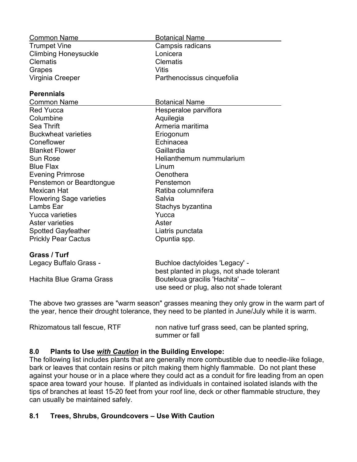| <b>Common Name</b>              | <b>Botanical Name</b>                     |
|---------------------------------|-------------------------------------------|
| <b>Trumpet Vine</b>             | Campsis radicans                          |
| <b>Climbing Honeysuckle</b>     | Lonicera                                  |
| <b>Clematis</b>                 | <b>Clematis</b>                           |
| Grapes                          | Vitis                                     |
| Virginia Creeper                | Parthenocissus cinquefolia                |
| <b>Perennials</b>               |                                           |
| <b>Common Name</b>              | <b>Botanical Name</b>                     |
| <b>Red Yucca</b>                | Hesperaloe parviflora                     |
| Columbine                       | Aquilegia                                 |
| <b>Sea Thrift</b>               | Armeria maritima                          |
| <b>Buckwheat varieties</b>      | Eriogonum                                 |
| Coneflower                      | Echinacea                                 |
| <b>Blanket Flower</b>           | Gaillardia                                |
| <b>Sun Rose</b>                 | Helianthemum nummularium                  |
| <b>Blue Flax</b>                | Linum                                     |
| <b>Evening Primrose</b>         | Oenothera                                 |
| Penstemon or Beardtongue        | Penstemon                                 |
| <b>Mexican Hat</b>              | Ratiba columnifera                        |
| <b>Flowering Sage varieties</b> | Salvia                                    |
| Lambs Ear                       | Stachys byzantina                         |
| Yucca varieties                 | Yucca                                     |
| <b>Aster varieties</b>          | Aster                                     |
| <b>Spotted Gayfeather</b>       | Liatris punctata                          |
| <b>Prickly Pear Cactus</b>      | Opuntia spp.                              |
| Grass / Turf                    |                                           |
| Legacy Buffalo Grass -          | Buchloe dactyloides 'Legacy' -            |
|                                 | best planted in plugs, not shade tolerant |
| Hachita Blue Grama Grass        | Bouteloua gracilis 'Hachita' -            |
|                                 | use seed or plug, also not shade tolerant |

The above two grasses are "warm season" grasses meaning they only grow in the warm part of the year, hence their drought tolerance, they need to be planted in June/July while it is warm.

| Rhizomatous tall fescue, RTF | non native turf grass seed, can be planted spring, |
|------------------------------|----------------------------------------------------|
|                              | summer or fall                                     |

### **8.0 Plants to Use** *with Caution* **in the Building Envelope:**

The following list includes plants that are generally more combustible due to needle-like foliage, bark or leaves that contain resins or pitch making them highly flammable. Do not plant these against your house or in a place where they could act as a conduit for fire leading from an open space area toward your house. If planted as individuals in contained isolated islands with the tips of branches at least 15-20 feet from your roof line, deck or other flammable structure, they can usually be maintained safely.

### **8.1 Trees, Shrubs, Groundcovers – Use With Caution**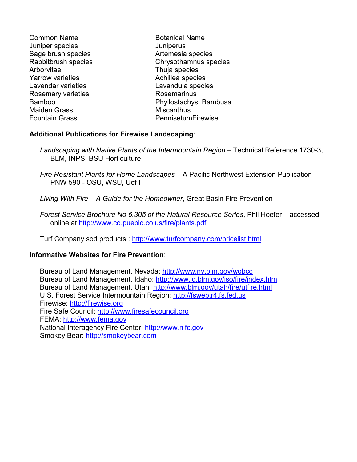| <b>Botanical Name</b>  |
|------------------------|
| Juniperus              |
| Artemesia species      |
| Chrysothamnus species  |
| Thuja species          |
| Achillea species       |
| Lavandula species      |
| Rosemarinus            |
| Phyllostachys, Bambusa |
| <b>Miscanthus</b>      |
| PennisetumFirewise     |
|                        |

#### **Additional Publications for Firewise Landscaping**:

- *Landscaping with Native Plants of the Intermountain Region* Technical Reference 1730-3, BLM, INPS, BSU Horticulture
- *Fire Resistant Plants for Home Landscapes* A Pacific Northwest Extension Publication PNW 590 - OSU, WSU, Uof I
- *Living With Fire – A Guide for the Homeowner*, Great Basin Fire Prevention
- *Forest Service Brochure No 6.305 of the Natural Resource Series*, Phil Hoefer accessed online at<http://www.co.pueblo.co.us/fire/plants.pdf>

Turf Company sod products : <http://www.turfcompany.com/pricelist.html>

### **Informative Websites for Fire Prevention**:

Bureau of Land Management, Nevada:<http://www.nv.blm.gov/wgbcc> Bureau of Land Management, Idaho:<http://www.id.blm.gov/iso/fire/index.htm> Bureau of Land Management, Utah:<http://www.blm.gov/utah/fire/utfire.html> U.S. Forest Service Intermountain Region: [http://fsweb.r4.fs.fed.us](http://fsweb.r4.fs.fed.us/) Firewise: [http://firewise.org](http://firewise.org/) Fire Safe Council: [http://www.firesafecouncil.org](http://www.firesafecouncil.org/) FEMA: [http://www.fema.gov](http://www.fema.gov/) National Interagency Fire Center: [http://www.nifc.gov](http://www.nifc.gov/) Smokey Bear: [http://smokeybear.com](http://smokeybear.com/)